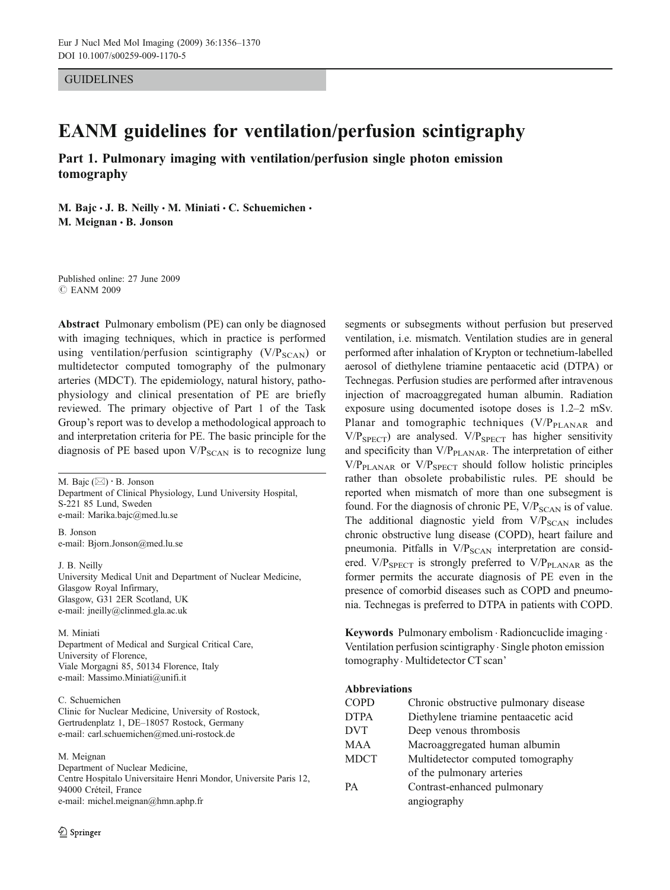GUIDELINES

# EANM guidelines for ventilation/perfusion scintigraphy

Part 1. Pulmonary imaging with ventilation/perfusion single photon emission tomography

M. Bajc · J. B. Neilly · M. Miniati · C. Schuemichen · M. Meignan · B. Jonson

Published online: 27 June 2009 *#* EANM 2009

Abstract Pulmonary embolism (PE) can only be diagnosed with imaging techniques, which in practice is performed using ventilation/perfusion scintigraphy  $(V/P_{SCAN})$  or multidetector computed tomography of the pulmonary arteries (MDCT). The epidemiology, natural history, pathophysiology and clinical presentation of PE are briefly reviewed. The primary objective of Part 1 of the Task Group's report was to develop a methodological approach to and interpretation criteria for PE. The basic principle for the diagnosis of PE based upon  $V/P_{SCAN}$  is to recognize lung

M. Bajc (*\**) *:* B. Jonson Department of Clinical Physiology, Lund University Hospital, S-221 85 Lund, Sweden e-mail: Marika.bajc@med.lu.se

B. Jonson e-mail: Bjorn.Jonson@med.lu.se

J. B. Neilly University Medical Unit and Department of Nuclear Medicine, Glasgow Royal Infirmary, Glasgow, G31 2ER Scotland, UK e-mail: jneilly@clinmed.gla.ac.uk

M. Miniati

Department of Medical and Surgical Critical Care, University of Florence, Viale Morgagni 85, 50134 Florence, Italy e-mail: Massimo.Miniati@unifi.it

#### C. Schuemichen

Clinic for Nuclear Medicine, University of Rostock, Gertrudenplatz 1, DE–18057 Rostock, Germany e-mail: carl.schuemichen@med.uni-rostock.de

#### M. Meignan

Department of Nuclear Medicine, Centre Hospitalo Universitaire Henri Mondor, Universite Paris 12, 94000 Créteil, France e-mail: michel.meignan@hmn.aphp.fr

segments or subsegments without perfusion but preserved ventilation, i.e. mismatch. Ventilation studies are in general performed after inhalation of Krypton or technetium-labelled aerosol of diethylene triamine pentaacetic acid (DTPA) or Technegas. Perfusion studies are performed after intravenous injection of macroaggregated human albumin. Radiation exposure using documented isotope doses is 1.2–2 mSv. Planar and tomographic techniques (V/P<sub>PLANAR</sub> and  $V/P<sub>SPECT</sub>$  are analysed.  $V/P<sub>SPECT</sub>$  has higher sensitivity and specificity than  $V/P<sub>PLANAR</sub>$ . The interpretation of either  $V/P<sub>PLANAR</sub>$  or  $V/P<sub>SPECT</sub>$  should follow holistic principles rather than obsolete probabilistic rules. PE should be reported when mismatch of more than one subsegment is found. For the diagnosis of chronic PE,  $V/P_{SCAN}$  is of value. The additional diagnostic yield from  $V/P_{SCAN}$  includes chronic obstructive lung disease (COPD), heart failure and pneumonia. Pitfalls in V/P<sub>SCAN</sub> interpretation are considered.  $V/P_{SPECT}$  is strongly preferred to  $V/P_{\text{PLANAR}}$  as the former permits the accurate diagnosis of PE even in the presence of comorbid diseases such as COPD and pneumonia. Technegas is preferred to DTPA in patients with COPD.

Keywords Pulmonary embolism . Radioncuclide imaging . Ventilation perfusion scintigraphy . Single photon emission tomography . Multidetector CT scan'

#### Abbreviations

| <b>COPD</b> | Chronic obstructive pulmonary disease |  |  |  |
|-------------|---------------------------------------|--|--|--|
| <b>DTPA</b> | Diethylene triamine pentaacetic acid  |  |  |  |
| <b>DVT</b>  | Deep venous thrombosis                |  |  |  |
| MAA         | Macroaggregated human albumin         |  |  |  |
| <b>MDCT</b> | Multidetector computed tomography     |  |  |  |
|             | of the pulmonary arteries             |  |  |  |
| PА          | Contrast-enhanced pulmonary           |  |  |  |
|             | angiography                           |  |  |  |
|             |                                       |  |  |  |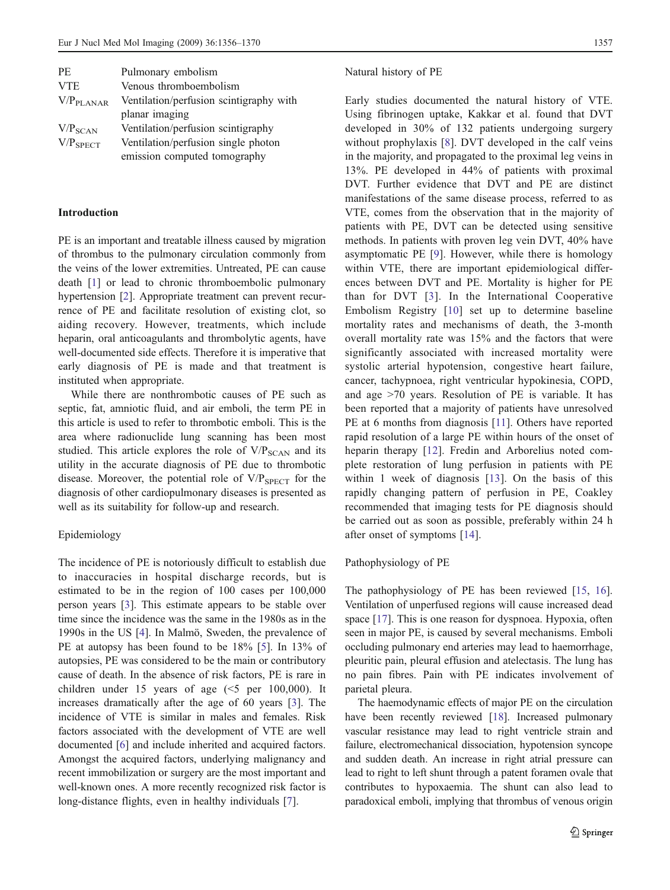| <b>PE</b>             | Pulmonary embolism                      |
|-----------------------|-----------------------------------------|
| <b>VTE</b>            | Venous thromboembolism                  |
| V/P <sub>PLANAR</sub> | Ventilation/perfusion scintigraphy with |
|                       | planar imaging                          |
| V/P <sub>SCAN</sub>   | Ventilation/perfusion scintigraphy      |
| $V/P_{SPECT}$         | Ventilation/perfusion single photon     |
|                       | emission computed tomography            |

#### Introduction

PE is an important and treatable illness caused by migration of thrombus to the pulmonary circulation commonly from the veins of the lower extremities. Untreated, PE can cause death [\[1](#page-11-0)] or lead to chronic thromboembolic pulmonary hypertension [[2\]](#page-11-0). Appropriate treatment can prevent recurrence of PE and facilitate resolution of existing clot, so aiding recovery. However, treatments, which include heparin, oral anticoagulants and thrombolytic agents, have well-documented side effects. Therefore it is imperative that early diagnosis of PE is made and that treatment is instituted when appropriate.

While there are nonthrombotic causes of PE such as septic, fat, amniotic fluid, and air emboli, the term PE in this article is used to refer to thrombotic emboli. This is the area where radionuclide lung scanning has been most studied. This article explores the role of  $V/P<sub>SCAN</sub>$  and its utility in the accurate diagnosis of PE due to thrombotic disease. Moreover, the potential role of  $V/P_{SPECT}$  for the diagnosis of other cardiopulmonary diseases is presented as well as its suitability for follow-up and research.

# Epidemiology

The incidence of PE is notoriously difficult to establish due to inaccuracies in hospital discharge records, but is estimated to be in the region of 100 cases per 100,000 person years [[3\]](#page-11-0). This estimate appears to be stable over time since the incidence was the same in the 1980s as in the 1990s in the US [[4\]](#page-11-0). In Malmö, Sweden, the prevalence of PE at autopsy has been found to be 18% [[5](#page-11-0)]. In 13% of autopsies, PE was considered to be the main or contributory cause of death. In the absence of risk factors, PE is rare in children under 15 years of age  $(<5$  per 100,000). It increases dramatically after the age of 60 years [\[3](#page-11-0)]. The incidence of VTE is similar in males and females. Risk factors associated with the development of VTE are well documented [\[6](#page-11-0)] and include inherited and acquired factors. Amongst the acquired factors, underlying malignancy and recent immobilization or surgery are the most important and well-known ones. A more recently recognized risk factor is long-distance flights, even in healthy individuals [\[7](#page-11-0)].

### Natural history of PE

Early studies documented the natural history of VTE. Using fibrinogen uptake, Kakkar et al. found that DVT developed in 30% of 132 patients undergoing surgery without prophylaxis [\[8\]](#page-11-0). DVT developed in the calf veins in the majority, and propagated to the proximal leg veins in 13%. PE developed in 44% of patients with proximal DVT. Further evidence that DVT and PE are distinct manifestations of the same disease process, referred to as VTE, comes from the observation that in the majority of patients with PE, DVT can be detected using sensitive methods. In patients with proven leg vein DVT, 40% have asymptomatic PE [[9\]](#page-11-0). However, while there is homology within VTE, there are important epidemiological differences between DVT and PE. Mortality is higher for PE than for DVT [[3](#page-11-0)]. In the International Cooperative Embolism Registry [[10](#page-11-0)] set up to determine baseline mortality rates and mechanisms of death, the 3-month overall mortality rate was 15% and the factors that were significantly associated with increased mortality were systolic arterial hypotension, congestive heart failure, cancer, tachypnoea, right ventricular hypokinesia, COPD, and age >70 years. Resolution of PE is variable. It has been reported that a majority of patients have unresolved PE at 6 months from diagnosis [[11](#page-11-0)]. Others have reported rapid resolution of a large PE within hours of the onset of heparin therapy [\[12\]](#page-11-0). Fredin and Arborelius noted complete restoration of lung perfusion in patients with PE within 1 week of diagnosis [[13](#page-11-0)]. On the basis of this rapidly changing pattern of perfusion in PE, Coakley recommended that imaging tests for PE diagnosis should be carried out as soon as possible, preferably within 24 h after onset of symptoms [\[14](#page-11-0)].

# Pathophysiology of PE

The pathophysiology of PE has been reviewed [\[15](#page-11-0), [16](#page-11-0)]. Ventilation of unperfused regions will cause increased dead space [[17\]](#page-11-0). This is one reason for dyspnoea. Hypoxia, often seen in major PE, is caused by several mechanisms. Emboli occluding pulmonary end arteries may lead to haemorrhage, pleuritic pain, pleural effusion and atelectasis. The lung has no pain fibres. Pain with PE indicates involvement of parietal pleura.

The haemodynamic effects of major PE on the circulation have been recently reviewed [\[18\]](#page-11-0). Increased pulmonary vascular resistance may lead to right ventricle strain and failure, electromechanical dissociation, hypotension syncope and sudden death. An increase in right atrial pressure can lead to right to left shunt through a patent foramen ovale that contributes to hypoxaemia. The shunt can also lead to paradoxical emboli, implying that thrombus of venous origin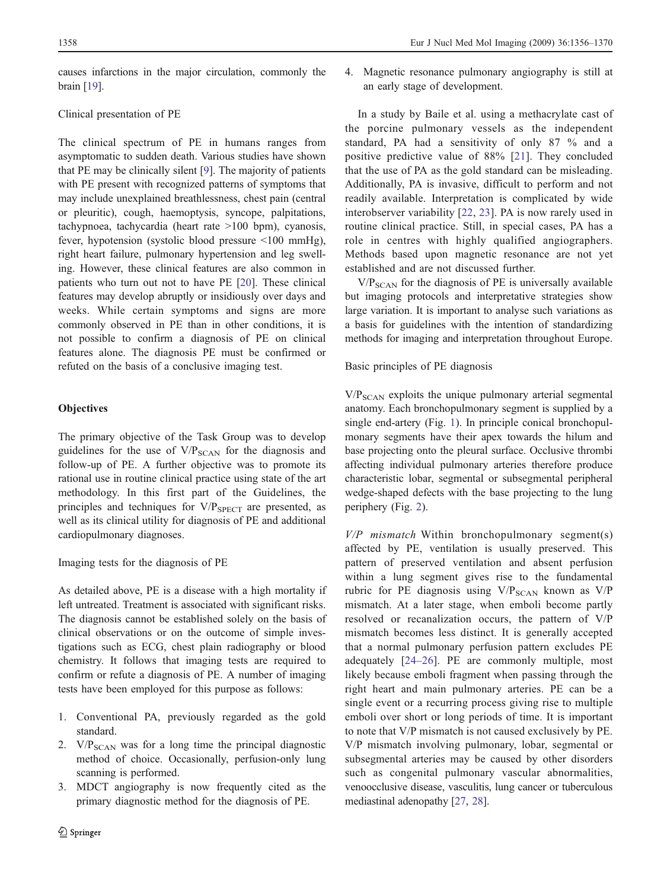causes infarctions in the major circulation, commonly the brain [\[19](#page-11-0)].

# Clinical presentation of PE

The clinical spectrum of PE in humans ranges from asymptomatic to sudden death. Various studies have shown that PE may be clinically silent [\[9](#page-11-0)]. The majority of patients with PE present with recognized patterns of symptoms that may include unexplained breathlessness, chest pain (central or pleuritic), cough, haemoptysis, syncope, palpitations, tachypnoea, tachycardia (heart rate >100 bpm), cyanosis, fever, hypotension (systolic blood pressure <100 mmHg), right heart failure, pulmonary hypertension and leg swelling. However, these clinical features are also common in patients who turn out not to have PE [[20\]](#page-11-0). These clinical features may develop abruptly or insidiously over days and weeks. While certain symptoms and signs are more commonly observed in PE than in other conditions, it is not possible to confirm a diagnosis of PE on clinical features alone. The diagnosis PE must be confirmed or refuted on the basis of a conclusive imaging test.

# **Objectives**

The primary objective of the Task Group was to develop guidelines for the use of  $V/P<sub>SCAN</sub>$  for the diagnosis and follow-up of PE. A further objective was to promote its rational use in routine clinical practice using state of the art methodology. In this first part of the Guidelines, the principles and techniques for  $V/P_{SPECT}$  are presented, as well as its clinical utility for diagnosis of PE and additional cardiopulmonary diagnoses.

Imaging tests for the diagnosis of PE

As detailed above, PE is a disease with a high mortality if left untreated. Treatment is associated with significant risks. The diagnosis cannot be established solely on the basis of clinical observations or on the outcome of simple investigations such as ECG, chest plain radiography or blood chemistry. It follows that imaging tests are required to confirm or refute a diagnosis of PE. A number of imaging tests have been employed for this purpose as follows:

- 1. Conventional PA, previously regarded as the gold standard.
- 2.  $V/P<sub>SCAN</sub>$  was for a long time the principal diagnostic method of choice. Occasionally, perfusion-only lung scanning is performed.
- 3. MDCT angiography is now frequently cited as the primary diagnostic method for the diagnosis of PE.

4. Magnetic resonance pulmonary angiography is still at an early stage of development.

In a study by Baile et al. using a methacrylate cast of the porcine pulmonary vessels as the independent standard, PA had a sensitivity of only 87 % and a positive predictive value of 88% [\[21\]](#page-11-0). They concluded that the use of PA as the gold standard can be misleading. Additionally, PA is invasive, difficult to perform and not readily available. Interpretation is complicated by wide interobserver variability [\[22,](#page-11-0) [23](#page-11-0)]. PA is now rarely used in routine clinical practice. Still, in special cases, PA has a role in centres with highly qualified angiographers. Methods based upon magnetic resonance are not yet established and are not discussed further.

 $V/P<sub>SCAN</sub>$  for the diagnosis of PE is universally available but imaging protocols and interpretative strategies show large variation. It is important to analyse such variations as a basis for guidelines with the intention of standardizing methods for imaging and interpretation throughout Europe.

Basic principles of PE diagnosis

 $V/P<sub>SCAN</sub>$  exploits the unique pulmonary arterial segmental anatomy. Each bronchopulmonary segment is supplied by a single end-artery (Fig. [1](#page-3-0)). In principle conical bronchopulmonary segments have their apex towards the hilum and base projecting onto the pleural surface. Occlusive thrombi affecting individual pulmonary arteries therefore produce characteristic lobar, segmental or subsegmental peripheral wedge-shaped defects with the base projecting to the lung periphery (Fig. [2](#page-3-0)).

 $V/P$  mismatch Within bronchopulmonary segment(s) affected by PE, ventilation is usually preserved. This pattern of preserved ventilation and absent perfusion within a lung segment gives rise to the fundamental rubric for PE diagnosis using  $V/P_{SCAN}$  known as  $V/P$ mismatch. At a later stage, when emboli become partly resolved or recanalization occurs, the pattern of V/P mismatch becomes less distinct. It is generally accepted that a normal pulmonary perfusion pattern excludes PE adequately [[24](#page-11-0)–[26](#page-11-0)]. PE are commonly multiple, most likely because emboli fragment when passing through the right heart and main pulmonary arteries. PE can be a single event or a recurring process giving rise to multiple emboli over short or long periods of time. It is important to note that V/P mismatch is not caused exclusively by PE. V/P mismatch involving pulmonary, lobar, segmental or subsegmental arteries may be caused by other disorders such as congenital pulmonary vascular abnormalities, venoocclusive disease, vasculitis, lung cancer or tuberculous mediastinal adenopathy [\[27](#page-11-0), [28\]](#page-11-0).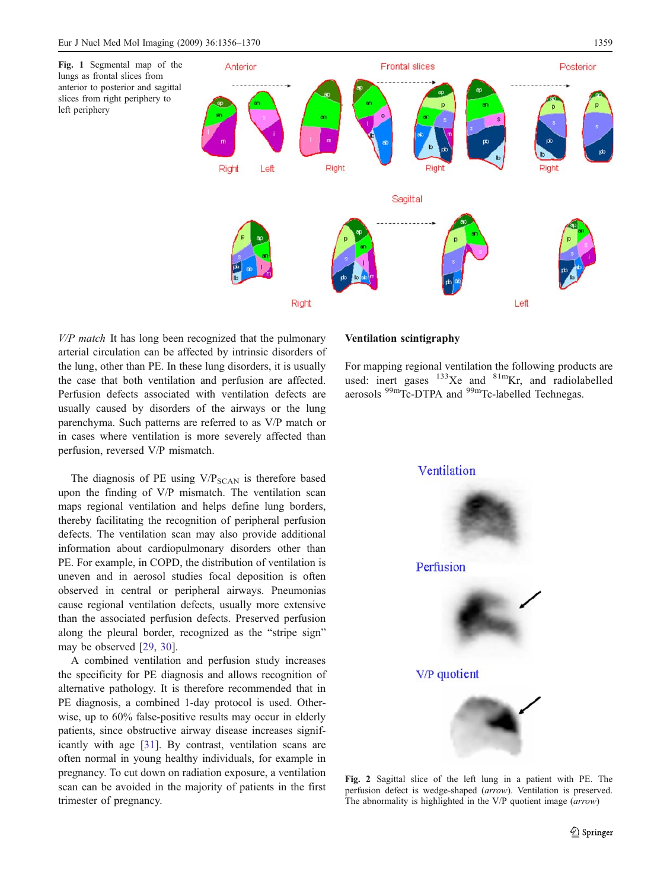<span id="page-3-0"></span>

 $V/P$  match It has long been recognized that the pulmonary arterial circulation can be affected by intrinsic disorders of the lung, other than PE. In these lung disorders, it is usually the case that both ventilation and perfusion are affected. Perfusion defects associated with ventilation defects are usually caused by disorders of the airways or the lung parenchyma. Such patterns are referred to as V/P match or in cases where ventilation is more severely affected than perfusion, reversed V/P mismatch.

The diagnosis of PE using  $V/P_{SCAN}$  is therefore based upon the finding of V/P mismatch. The ventilation scan maps regional ventilation and helps define lung borders, thereby facilitating the recognition of peripheral perfusion defects. The ventilation scan may also provide additional information about cardiopulmonary disorders other than PE. For example, in COPD, the distribution of ventilation is uneven and in aerosol studies focal deposition is often observed in central or peripheral airways. Pneumonias cause regional ventilation defects, usually more extensive than the associated perfusion defects. Preserved perfusion along the pleural border, recognized as the "stripe sign" may be observed [[29,](#page-11-0) [30\]](#page-11-0).

A combined ventilation and perfusion study increases the specificity for PE diagnosis and allows recognition of alternative pathology. It is therefore recommended that in PE diagnosis, a combined 1-day protocol is used. Otherwise, up to 60% false-positive results may occur in elderly patients, since obstructive airway disease increases significantly with age [\[31](#page-11-0)]. By contrast, ventilation scans are often normal in young healthy individuals, for example in pregnancy. To cut down on radiation exposure, a ventilation scan can be avoided in the majority of patients in the first trimester of pregnancy.

# Ventilation scintigraphy

For mapping regional ventilation the following products are used: inert gases  $133Xe$  and  $81m$ Kr, and radiolabelled aerosols <sup>99m</sup>Tc-DTPA and <sup>99m</sup>Tc-labelled Technegas.



Fig. 2 Sagittal slice of the left lung in a patient with PE. The perfusion defect is wedge-shaped (arrow). Ventilation is preserved. The abnormality is highlighted in the V/P quotient image (arrow)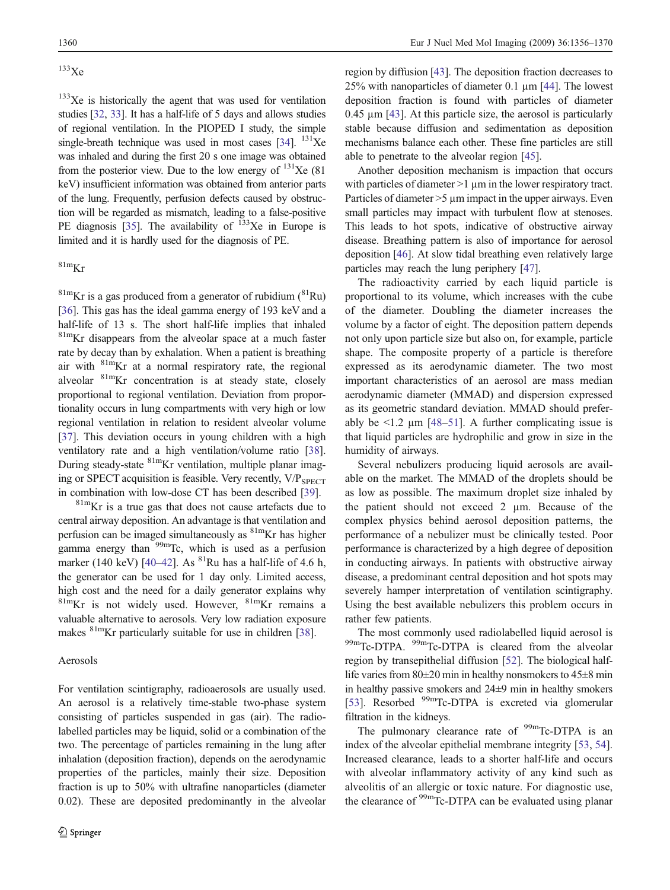# $^{133}$ Xe

 $133$ Xe is historically the agent that was used for ventilation studies [\[32,](#page-11-0) [33\]](#page-11-0). It has a half-life of 5 days and allows studies of regional ventilation. In the PIOPED I study, the simple single-breath technique was used in most cases [[34](#page-11-0)].  $^{131}Xe$ was inhaled and during the first 20 s one image was obtained from the posterior view. Due to the low energy of  $^{131}$ Xe (81) keV) insufficient information was obtained from anterior parts of the lung. Frequently, perfusion defects caused by obstruction will be regarded as mismatch, leading to a false-positive PE diagnosis [[35](#page-11-0)]. The availability of  $133$ Xe in Europe is limited and it is hardly used for the diagnosis of PE.

# $81m$ Kr

 $81m$ Kr is a gas produced from a generator of rubidium  $(^{81}Ru)$ [[36\]](#page-11-0). This gas has the ideal gamma energy of 193 keV and a half-life of 13 s. The short half-life implies that inhaled <sup>81m</sup>Kr disappears from the alveolar space at a much faster rate by decay than by exhalation. When a patient is breathing air with  $81m$ Kr at a normal respiratory rate, the regional alveolar 81mKr concentration is at steady state, closely proportional to regional ventilation. Deviation from proportionality occurs in lung compartments with very high or low regional ventilation in relation to resident alveolar volume [[37\]](#page-11-0). This deviation occurs in young children with a high ventilatory rate and a high ventilation/volume ratio [\[38](#page-11-0)]. During steady-state <sup>81m</sup>Kr ventilation, multiple planar imaging or SPECT acquisition is feasible. Very recently, V/P<sub>SPECT</sub> in combination with low-dose CT has been described [\[39](#page-11-0)].

81mKr is a true gas that does not cause artefacts due to central airway deposition. An advantage is that ventilation and perfusion can be imaged simultaneously as <sup>81m</sup>Kr has higher gamma energy than  $99m$ Tc, which is used as a perfusion marker (140 keV) [\[40](#page-12-0)–[42](#page-12-0)]. As  ${}^{81}$ Ru has a half-life of 4.6 h, the generator can be used for 1 day only. Limited access, high cost and the need for a daily generator explains why  $81mKr$  is not widely used. However,  $81mKr$  remains a valuable alternative to aerosols. Very low radiation exposure makes <sup>81m</sup>Kr particularly suitable for use in children [\[38\]](#page-11-0).

# Aerosols

For ventilation scintigraphy, radioaerosols are usually used. An aerosol is a relatively time-stable two-phase system consisting of particles suspended in gas (air). The radiolabelled particles may be liquid, solid or a combination of the two. The percentage of particles remaining in the lung after inhalation (deposition fraction), depends on the aerodynamic properties of the particles, mainly their size. Deposition fraction is up to 50% with ultrafine nanoparticles (diameter 0.02). These are deposited predominantly in the alveolar region by diffusion [[43\]](#page-12-0). The deposition fraction decreases to 25% with nanoparticles of diameter 0.1 µm [\[44](#page-12-0)]. The lowest deposition fraction is found with particles of diameter 0.45 µm [\[43\]](#page-12-0). At this particle size, the aerosol is particularly stable because diffusion and sedimentation as deposition mechanisms balance each other. These fine particles are still able to penetrate to the alveolar region [\[45](#page-12-0)].

Another deposition mechanism is impaction that occurs with particles of diameter >1  $\mu$ m in the lower respiratory tract. Particles of diameter  $>5$  um impact in the upper airways. Even small particles may impact with turbulent flow at stenoses. This leads to hot spots, indicative of obstructive airway disease. Breathing pattern is also of importance for aerosol deposition [[46\]](#page-12-0). At slow tidal breathing even relatively large particles may reach the lung periphery [[47](#page-12-0)].

The radioactivity carried by each liquid particle is proportional to its volume, which increases with the cube of the diameter. Doubling the diameter increases the volume by a factor of eight. The deposition pattern depends not only upon particle size but also on, for example, particle shape. The composite property of a particle is therefore expressed as its aerodynamic diameter. The two most important characteristics of an aerosol are mass median aerodynamic diameter (MMAD) and dispersion expressed as its geometric standard deviation. MMAD should preferably be  $\leq 1.2$  µm [\[48](#page-12-0)–[51](#page-12-0)]. A further complicating issue is that liquid particles are hydrophilic and grow in size in the humidity of airways.

Several nebulizers producing liquid aerosols are available on the market. The MMAD of the droplets should be as low as possible. The maximum droplet size inhaled by the patient should not exceed 2 µm. Because of the complex physics behind aerosol deposition patterns, the performance of a nebulizer must be clinically tested. Poor performance is characterized by a high degree of deposition in conducting airways. In patients with obstructive airway disease, a predominant central deposition and hot spots may severely hamper interpretation of ventilation scintigraphy. Using the best available nebulizers this problem occurs in rather few patients.

The most commonly used radiolabelled liquid aerosol is 99mTc-DTPA. <sup>99m</sup>Tc-DTPA is cleared from the alveolar region by transepithelial diffusion [[52\]](#page-12-0). The biological halflife varies from 80±20 min in healthy nonsmokers to 45±8 min in healthy passive smokers and 24±9 min in healthy smokers [\[53\]](#page-12-0). Resorbed <sup>99m</sup>Tc-DTPA is excreted via glomerular filtration in the kidneys.

The pulmonary clearance rate of  $99m$ Tc-DTPA is an index of the alveolar epithelial membrane integrity [\[53](#page-12-0), [54](#page-12-0)]. Increased clearance, leads to a shorter half-life and occurs with alveolar inflammatory activity of any kind such as alveolitis of an allergic or toxic nature. For diagnostic use, the clearance of <sup>99m</sup>Tc-DTPA can be evaluated using planar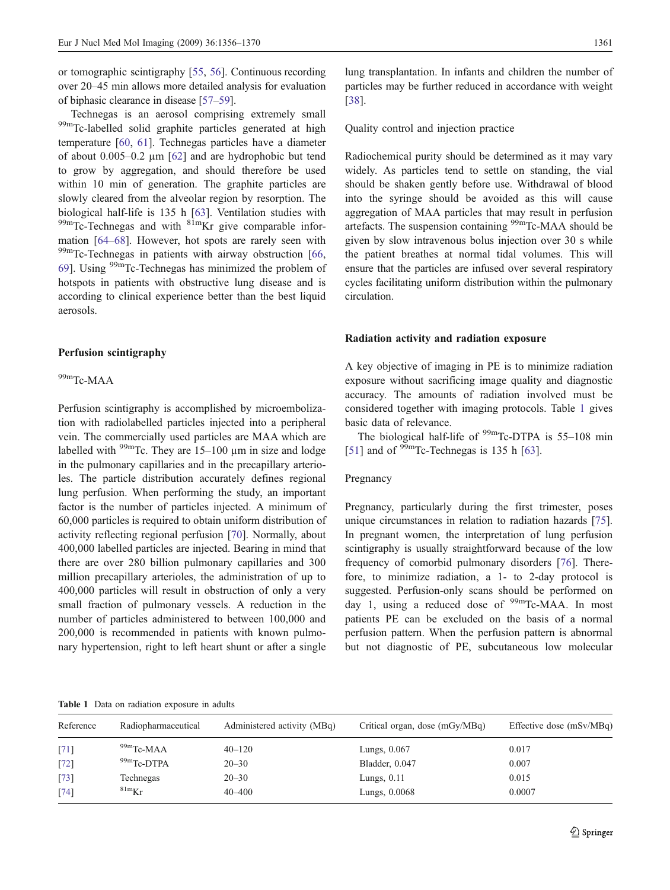or tomographic scintigraphy [\[55](#page-12-0), [56\]](#page-12-0). Continuous recording over 20–45 min allows more detailed analysis for evaluation of biphasic clearance in disease [\[57](#page-12-0)–[59](#page-12-0)].

Technegas is an aerosol comprising extremely small 99mTc-labelled solid graphite particles generated at high temperature [[60,](#page-12-0) [61](#page-12-0)]. Technegas particles have a diameter of about 0.005–0.2 µm [[62\]](#page-12-0) and are hydrophobic but tend to grow by aggregation, and should therefore be used within 10 min of generation. The graphite particles are slowly cleared from the alveolar region by resorption. The biological half-life is 135 h [\[63](#page-12-0)]. Ventilation studies with  $^{99m}$ Tc-Technegas and with  $^{81m}$ Kr give comparable information [[64](#page-12-0)–[68\]](#page-12-0). However, hot spots are rarely seen with <sup>99m</sup>Tc-Technegas in patients with airway obstruction [\[66](#page-12-0), [69\]](#page-12-0). Using <sup>99m</sup>Tc-Technegas has minimized the problem of hotspots in patients with obstructive lung disease and is according to clinical experience better than the best liquid aerosols.

#### Perfusion scintigraphy

#### 99mTc-MAA

Perfusion scintigraphy is accomplished by microembolization with radiolabelled particles injected into a peripheral vein. The commercially used particles are MAA which are labelled with  $99m$ Tc. They are 15–100 µm in size and lodge in the pulmonary capillaries and in the precapillary arterioles. The particle distribution accurately defines regional lung perfusion. When performing the study, an important factor is the number of particles injected. A minimum of 60,000 particles is required to obtain uniform distribution of activity reflecting regional perfusion [\[70](#page-12-0)]. Normally, about 400,000 labelled particles are injected. Bearing in mind that there are over 280 billion pulmonary capillaries and 300 million precapillary arterioles, the administration of up to 400,000 particles will result in obstruction of only a very small fraction of pulmonary vessels. A reduction in the number of particles administered to between 100,000 and 200,000 is recommended in patients with known pulmonary hypertension, right to left heart shunt or after a single

lung transplantation. In infants and children the number of particles may be further reduced in accordance with weight [\[38](#page-11-0)].

Quality control and injection practice

Radiochemical purity should be determined as it may vary widely. As particles tend to settle on standing, the vial should be shaken gently before use. Withdrawal of blood into the syringe should be avoided as this will cause aggregation of MAA particles that may result in perfusion artefacts. The suspension containing <sup>99m</sup>Tc-MAA should be given by slow intravenous bolus injection over 30 s while the patient breathes at normal tidal volumes. This will ensure that the particles are infused over several respiratory cycles facilitating uniform distribution within the pulmonary circulation.

#### Radiation activity and radiation exposure

A key objective of imaging in PE is to minimize radiation exposure without sacrificing image quality and diagnostic accuracy. The amounts of radiation involved must be considered together with imaging protocols. Table 1 gives basic data of relevance.

The biological half-life of  $99m$ Tc-DTPA is 55–108 min [\[51](#page-12-0)] and of  $\mathrm{^{99m}Tc}$ -Technegas is 135 h [\[63](#page-12-0)].

#### Pregnancy

Pregnancy, particularly during the first trimester, poses unique circumstances in relation to radiation hazards [\[75](#page-12-0)]. In pregnant women, the interpretation of lung perfusion scintigraphy is usually straightforward because of the low frequency of comorbid pulmonary disorders [\[76](#page-12-0)]. Therefore, to minimize radiation, a 1- to 2-day protocol is suggested. Perfusion-only scans should be performed on day 1, using a reduced dose of  $\frac{99 \text{m}}{2}$ Tc-MAA. In most patients PE can be excluded on the basis of a normal perfusion pattern. When the perfusion pattern is abnormal but not diagnostic of PE, subcutaneous low molecular

Table 1 Data on radiation exposure in adults

| Reference | Radiopharmaceutical | Administered activity (MBq) | Critical organ, dose (mGy/MBq) | Effective dose (mSv/MBq) |
|-----------|---------------------|-----------------------------|--------------------------------|--------------------------|
| [71]      | $99m$ Tc-MAA        | $40 - 120$                  | Lungs, $0.067$                 | 0.017                    |
| $[72]$    | 99mTc-DTPA          | $20 - 30$                   | Bladder, 0.047                 | 0.007                    |
| $[73]$    | Technegas           | $20 - 30$                   | Lungs, $0.11$                  | 0.015                    |
| $[74]$    | $81m$ Kr            | $40 - 400$                  | Lungs, 0.0068                  | 0.0007                   |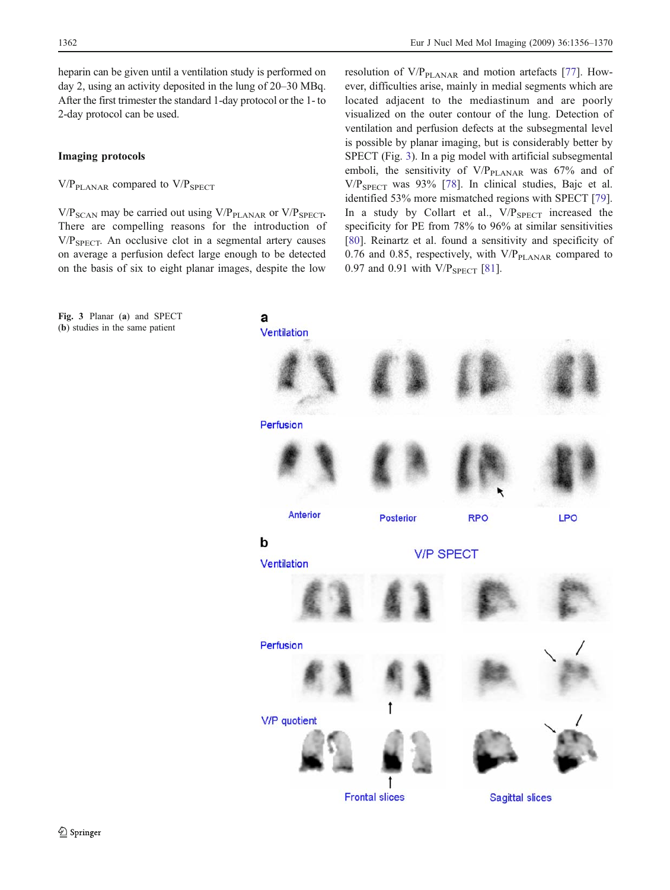<span id="page-6-0"></span>heparin can be given until a ventilation study is performed on day 2, using an activity deposited in the lung of 20–30 MBq. After the first trimester the standard 1-day protocol or the 1- to 2-day protocol can be used.

#### Imaging protocols

 $V/P<sub>PLANAR</sub>$  compared to  $V/P<sub>SPECT</sub>$ 

 $V/P_{SCAN}$  may be carried out using  $V/P_{PLANAR}$  or  $V/P_{SPECT}$ . There are compelling reasons for the introduction of  $V/P<sub>SPECT</sub>$ . An occlusive clot in a segmental artery causes on average a perfusion defect large enough to be detected on the basis of six to eight planar images, despite the low

Fig. 3 Planar (a) and SPECT (b) studies in the same patient

resolution of  $V/P<sub>PLANAR</sub>$  and motion artefacts [[77\]](#page-12-0). However, difficulties arise, mainly in medial segments which are located adjacent to the mediastinum and are poorly visualized on the outer contour of the lung. Detection of ventilation and perfusion defects at the subsegmental level is possible by planar imaging, but is considerably better by SPECT (Fig. 3). In a pig model with artificial subsegmental emboli, the sensitivity of  $V/P_{\text{PLANAR}}$  was 67% and of V/PSPECT was 93% [\[78](#page-12-0)]. In clinical studies, Bajc et al. identified 53% more mismatched regions with SPECT [\[79](#page-13-0)]. In a study by Collart et al.,  $V/P_{SPECT}$  increased the specificity for PE from 78% to 96% at similar sensitivities [\[80](#page-13-0)]. Reinartz et al. found a sensitivity and specificity of 0.76 and 0.85, respectively, with  $V/P<sub>PLANAR</sub>$  compared to 0.97 and 0.91 with V/P<sub>SPECT</sub> [[81\]](#page-13-0).

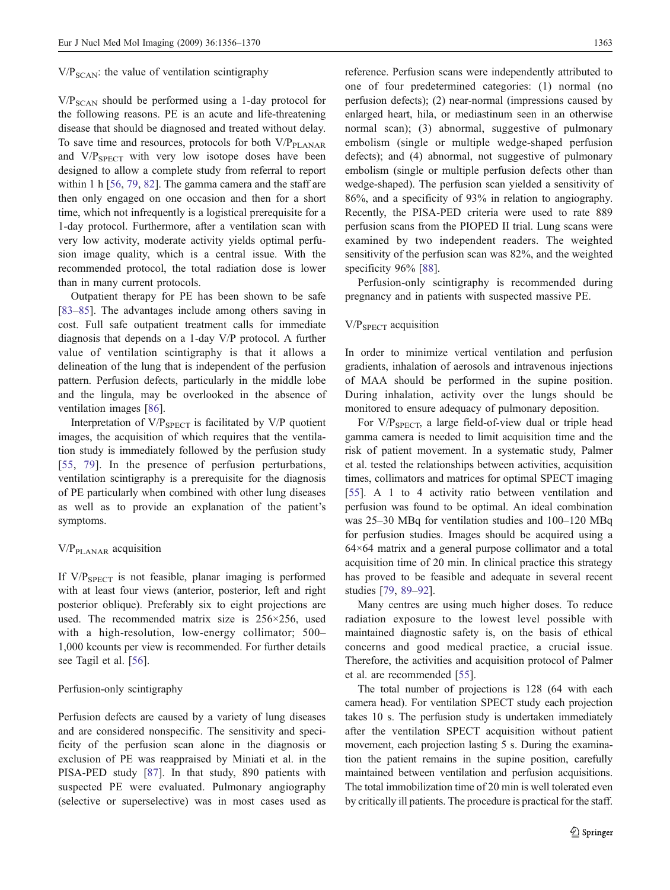$V/P<sub>SCAN</sub>$ : the value of ventilation scintigraphy

 $V/P_{SCAN}$  should be performed using a 1-day protocol for the following reasons. PE is an acute and life-threatening disease that should be diagnosed and treated without delay. To save time and resources, protocols for both  $V/P<sub>PLANAR</sub>$ and  $V/P_{\text{SPECT}}$  with very low isotope doses have been designed to allow a complete study from referral to report within 1 h [[56,](#page-12-0) [79,](#page-13-0) [82\]](#page-13-0). The gamma camera and the staff are then only engaged on one occasion and then for a short time, which not infrequently is a logistical prerequisite for a 1-day protocol. Furthermore, after a ventilation scan with very low activity, moderate activity yields optimal perfusion image quality, which is a central issue. With the recommended protocol, the total radiation dose is lower than in many current protocols.

Outpatient therapy for PE has been shown to be safe [[83](#page-13-0)–[85\]](#page-13-0). The advantages include among others saving in cost. Full safe outpatient treatment calls for immediate diagnosis that depends on a 1-day V/P protocol. A further value of ventilation scintigraphy is that it allows a delineation of the lung that is independent of the perfusion pattern. Perfusion defects, particularly in the middle lobe and the lingula, may be overlooked in the absence of ventilation images [[86\]](#page-13-0).

Interpretation of  $V/P_{SPECT}$  is facilitated by  $V/P$  quotient images, the acquisition of which requires that the ventilation study is immediately followed by the perfusion study [[55](#page-12-0), [79\]](#page-13-0). In the presence of perfusion perturbations, ventilation scintigraphy is a prerequisite for the diagnosis of PE particularly when combined with other lung diseases as well as to provide an explanation of the patient's symptoms.

# $V/P<sub>PLANAR</sub>$  acquisition

If  $V/P_{SPECT}$  is not feasible, planar imaging is performed with at least four views (anterior, posterior, left and right posterior oblique). Preferably six to eight projections are used. The recommended matrix size is 256×256, used with a high-resolution, low-energy collimator; 500– 1,000 kcounts per view is recommended. For further details see Tagil et al. [\[56](#page-12-0)].

#### Perfusion-only scintigraphy

Perfusion defects are caused by a variety of lung diseases and are considered nonspecific. The sensitivity and specificity of the perfusion scan alone in the diagnosis or exclusion of PE was reappraised by Miniati et al. in the PISA-PED study [[87\]](#page-13-0). In that study, 890 patients with suspected PE were evaluated. Pulmonary angiography (selective or superselective) was in most cases used as reference. Perfusion scans were independently attributed to one of four predetermined categories: (1) normal (no perfusion defects); (2) near-normal (impressions caused by enlarged heart, hila, or mediastinum seen in an otherwise normal scan); (3) abnormal, suggestive of pulmonary embolism (single or multiple wedge-shaped perfusion defects); and (4) abnormal, not suggestive of pulmonary embolism (single or multiple perfusion defects other than wedge-shaped). The perfusion scan yielded a sensitivity of 86%, and a specificity of 93% in relation to angiography. Recently, the PISA-PED criteria were used to rate 889 perfusion scans from the PIOPED II trial. Lung scans were examined by two independent readers. The weighted sensitivity of the perfusion scan was 82%, and the weighted specificity 96% [[88\]](#page-13-0).

Perfusion-only scintigraphy is recommended during pregnancy and in patients with suspected massive PE.

# V/PSPECT acquisition

In order to minimize vertical ventilation and perfusion gradients, inhalation of aerosols and intravenous injections of MAA should be performed in the supine position. During inhalation, activity over the lungs should be monitored to ensure adequacy of pulmonary deposition.

For  $V/P_{SPECT}$ , a large field-of-view dual or triple head gamma camera is needed to limit acquisition time and the risk of patient movement. In a systematic study, Palmer et al. tested the relationships between activities, acquisition times, collimators and matrices for optimal SPECT imaging [\[55](#page-12-0)]. A 1 to 4 activity ratio between ventilation and perfusion was found to be optimal. An ideal combination was 25–30 MBq for ventilation studies and 100–120 MBq for perfusion studies. Images should be acquired using a 64×64 matrix and a general purpose collimator and a total acquisition time of 20 min. In clinical practice this strategy has proved to be feasible and adequate in several recent studies [[79,](#page-13-0) [89](#page-13-0)–[92](#page-13-0)].

Many centres are using much higher doses. To reduce radiation exposure to the lowest level possible with maintained diagnostic safety is, on the basis of ethical concerns and good medical practice, a crucial issue. Therefore, the activities and acquisition protocol of Palmer et al. are recommended [[55\]](#page-12-0).

The total number of projections is 128 (64 with each camera head). For ventilation SPECT study each projection takes 10 s. The perfusion study is undertaken immediately after the ventilation SPECT acquisition without patient movement, each projection lasting 5 s. During the examination the patient remains in the supine position, carefully maintained between ventilation and perfusion acquisitions. The total immobilization time of 20 min is well tolerated even by critically ill patients. The procedure is practical for the staff.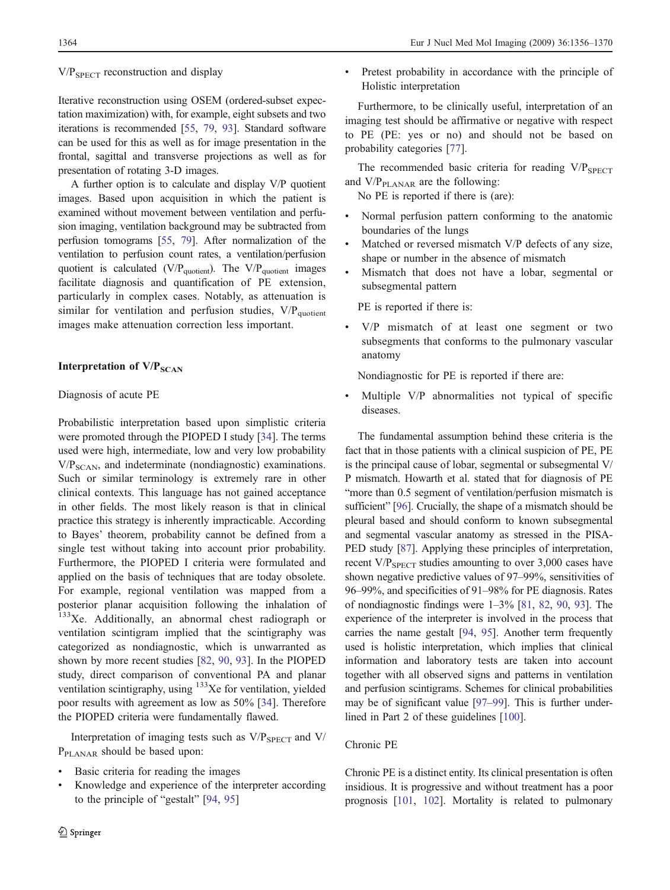# $V/P<sub>SPECT</sub> reconstruction and display$

Iterative reconstruction using OSEM (ordered-subset expectation maximization) with, for example, eight subsets and two iterations is recommended [\[55,](#page-12-0) [79,](#page-13-0) [93](#page-13-0)]. Standard software can be used for this as well as for image presentation in the frontal, sagittal and transverse projections as well as for presentation of rotating 3-D images.

A further option is to calculate and display V/P quotient images. Based upon acquisition in which the patient is examined without movement between ventilation and perfusion imaging, ventilation background may be subtracted from perfusion tomograms [\[55](#page-12-0), [79](#page-13-0)]. After normalization of the ventilation to perfusion count rates, a ventilation/perfusion quotient is calculated ( $V/P<sub>quotient</sub>$ ). The  $V/P<sub>quotient</sub>$  images facilitate diagnosis and quantification of PE extension, particularly in complex cases. Notably, as attenuation is similar for ventilation and perfusion studies,  $V/P<sub>quotient</sub>$ images make attenuation correction less important.

# Interpretation of  $V/P<sub>SCAN</sub>$

# Diagnosis of acute PE

Probabilistic interpretation based upon simplistic criteria were promoted through the PIOPED I study [[34\]](#page-11-0). The terms used were high, intermediate, low and very low probability  $V/P<sub>SCAN</sub>$ , and indeterminate (nondiagnostic) examinations. Such or similar terminology is extremely rare in other clinical contexts. This language has not gained acceptance in other fields. The most likely reason is that in clinical practice this strategy is inherently impracticable. According to Bayes' theorem, probability cannot be defined from a single test without taking into account prior probability. Furthermore, the PIOPED I criteria were formulated and applied on the basis of techniques that are today obsolete. For example, regional ventilation was mapped from a posterior planar acquisition following the inhalation of <sup>133</sup>Xe. Additionally, an abnormal chest radiograph or ventilation scintigram implied that the scintigraphy was categorized as nondiagnostic, which is unwarranted as shown by more recent studies [\[82](#page-13-0), [90](#page-13-0), [93\]](#page-13-0). In the PIOPED study, direct comparison of conventional PA and planar ventilation scintigraphy, using <sup>133</sup>Xe for ventilation, yielded poor results with agreement as low as 50% [\[34](#page-11-0)]. Therefore the PIOPED criteria were fundamentally flawed.

Interpretation of imaging tests such as  $V/P_{SPECT}$  and  $V$ / P<sub>PLANAR</sub> should be based upon:

- Basic criteria for reading the images
- & Knowledge and experience of the interpreter according to the principle of "gestalt" [[94,](#page-13-0) [95](#page-13-0)]

& Pretest probability in accordance with the principle of Holistic interpretation

Furthermore, to be clinically useful, interpretation of an imaging test should be affirmative or negative with respect to PE (PE: yes or no) and should not be based on probability categories [[77\]](#page-12-0).

The recommended basic criteria for reading  $V/P_{SPECT}$ and  $V/P<sub>PLANAR</sub>$  are the following:

No PE is reported if there is (are):

- Normal perfusion pattern conforming to the anatomic boundaries of the lungs
- Matched or reversed mismatch V/P defects of any size, shape or number in the absence of mismatch
- & Mismatch that does not have a lobar, segmental or subsegmental pattern

PE is reported if there is:

& V/P mismatch of at least one segment or two subsegments that conforms to the pulmonary vascular anatomy

Nondiagnostic for PE is reported if there are:

Multiple V/P abnormalities not typical of specific diseases.

The fundamental assumption behind these criteria is the fact that in those patients with a clinical suspicion of PE, PE is the principal cause of lobar, segmental or subsegmental V/ P mismatch. Howarth et al. stated that for diagnosis of PE "more than 0.5 segment of ventilation/perfusion mismatch is sufficient" [\[96](#page-13-0)]. Crucially, the shape of a mismatch should be pleural based and should conform to known subsegmental and segmental vascular anatomy as stressed in the PISA-PED study [\[87\]](#page-13-0). Applying these principles of interpretation, recent  $V/P_{SPECT}$  studies amounting to over 3,000 cases have shown negative predictive values of 97–99%, sensitivities of 96–99%, and specificities of 91–98% for PE diagnosis. Rates of nondiagnostic findings were 1–3% [\[81](#page-13-0), [82](#page-13-0), [90,](#page-13-0) [93\]](#page-13-0). The experience of the interpreter is involved in the process that carries the name gestalt [\[94](#page-13-0), [95\]](#page-13-0). Another term frequently used is holistic interpretation, which implies that clinical information and laboratory tests are taken into account together with all observed signs and patterns in ventilation and perfusion scintigrams. Schemes for clinical probabilities may be of significant value [\[97](#page-13-0)–[99\]](#page-13-0). This is further underlined in Part 2 of these guidelines [\[100](#page-13-0)].

# Chronic PE

Chronic PE is a distinct entity. Its clinical presentation is often insidious. It is progressive and without treatment has a poor prognosis [\[101,](#page-13-0) [102\]](#page-13-0). Mortality is related to pulmonary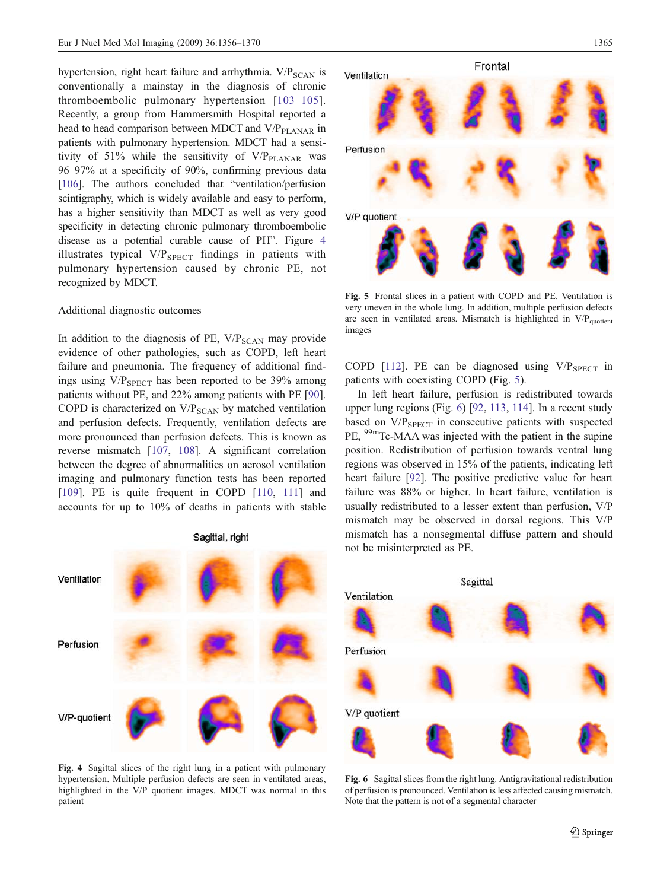hypertension, right heart failure and arrhythmia.  $V/P_{SCAN}$  is conventionally a mainstay in the diagnosis of chronic thromboembolic pulmonary hypertension [\[103](#page-13-0)–[105\]](#page-13-0). Recently, a group from Hammersmith Hospital reported a head to head comparison between MDCT and V/P<sub>PLANAR</sub> in patients with pulmonary hypertension. MDCT had a sensitivity of 51% while the sensitivity of  $V/P<sub>PLANAR</sub>$  was 96–97% at a specificity of 90%, confirming previous data [[106\]](#page-13-0). The authors concluded that "ventilation/perfusion scintigraphy, which is widely available and easy to perform. has a higher sensitivity than MDCT as well as very good specificity in detecting chronic pulmonary thromboembolic disease as a potential curable cause of PH". Figure 4 illustrates typical  $V/P_{SPECT}$  findings in patients with pulmonary hypertension caused by chronic PE, not recognized by MDCT.

#### Additional diagnostic outcomes

In addition to the diagnosis of PE,  $V/P_{\text{SCAN}}$  may provide evidence of other pathologies, such as COPD, left heart failure and pneumonia. The frequency of additional findings using  $V/P<sub>SPECT</sub>$  has been reported to be 39% among patients without PE, and 22% among patients with PE [\[90](#page-13-0)]. COPD is characterized on  $V/P<sub>SCAN</sub>$  by matched ventilation and perfusion defects. Frequently, ventilation defects are more pronounced than perfusion defects. This is known as reverse mismatch [[107,](#page-13-0) [108](#page-13-0)]. A significant correlation between the degree of abnormalities on aerosol ventilation imaging and pulmonary function tests has been reported [[109\]](#page-13-0). PE is quite frequent in COPD [\[110,](#page-13-0) [111\]](#page-14-0) and accounts for up to 10% of deaths in patients with stable



Fig. 4 Sagittal slices of the right lung in a patient with pulmonary hypertension. Multiple perfusion defects are seen in ventilated areas, highlighted in the V/P quotient images. MDCT was normal in this patient



Fig. 5 Frontal slices in a patient with COPD and PE. Ventilation is very uneven in the whole lung. In addition, multiple perfusion defects are seen in ventilated areas. Mismatch is highlighted in  $V/P<sub>quotient</sub>$ images

COPD [\[112](#page-14-0)]. PE can be diagnosed using  $V/P_{SPECT}$  in patients with coexisting COPD (Fig. 5).

In left heart failure, perfusion is redistributed towards upper lung regions (Fig. 6) [\[92](#page-13-0), [113](#page-14-0), [114](#page-14-0)]. In a recent study based on  $V/P_{SPECT}$  in consecutive patients with suspected PE, 99mTc-MAA was injected with the patient in the supine position. Redistribution of perfusion towards ventral lung regions was observed in 15% of the patients, indicating left heart failure [\[92](#page-13-0)]. The positive predictive value for heart failure was 88% or higher. In heart failure, ventilation is usually redistributed to a lesser extent than perfusion, V/P mismatch may be observed in dorsal regions. This V/P mismatch has a nonsegmental diffuse pattern and should not be misinterpreted as PE.



Fig. 6 Sagittal slices from the right lung. Antigravitational redistribution of perfusion is pronounced. Ventilation is less affected causing mismatch. Note that the pattern is not of a segmental character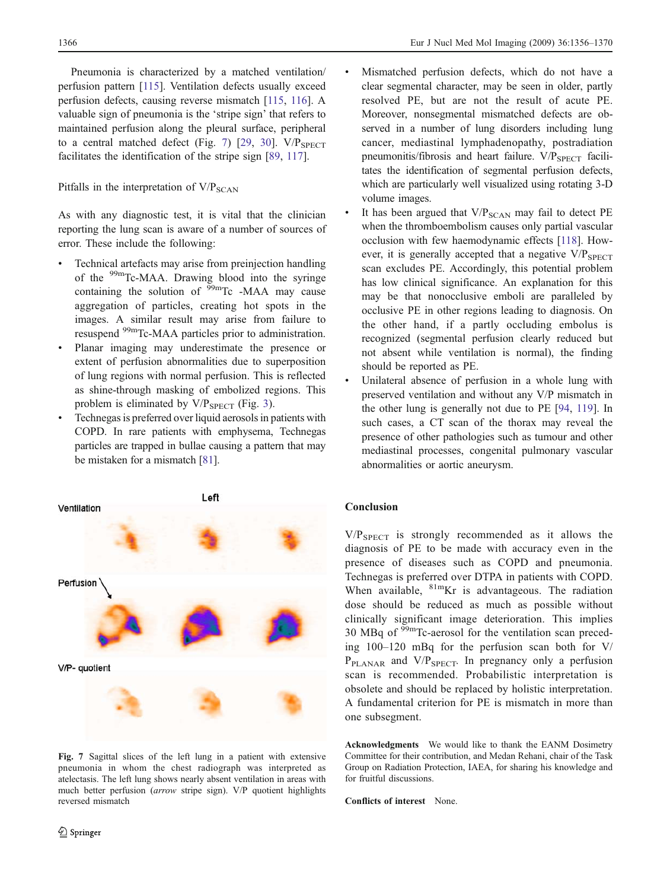Pneumonia is characterized by a matched ventilation/ perfusion pattern [\[115\]](#page-14-0). Ventilation defects usually exceed perfusion defects, causing reverse mismatch [[115](#page-14-0), [116](#page-14-0)]. A valuable sign of pneumonia is the 'stripe sign' that refers to maintained perfusion along the pleural surface, peripheral to a central matched defect (Fig. 7) [[29,](#page-11-0) [30](#page-11-0)].  $V/P_{SPECT}$ facilitates the identification of the stripe sign [\[89](#page-13-0), [117\]](#page-14-0).

# Pitfalls in the interpretation of  $V/P_{SCAN}$

As with any diagnostic test, it is vital that the clinician reporting the lung scan is aware of a number of sources of error. These include the following:

- Technical artefacts may arise from preinjection handling of the  $\rm{^{99m}Tc\text{-}MAA}$ . Drawing blood into the syringe containing the solution of  $\frac{99 \text{m}}{\text{C}}$  -MAA may cause aggregation of particles, creating hot spots in the images. A similar result may arise from failure to resuspend 99mTc-MAA particles prior to administration.
- Planar imaging may underestimate the presence or extent of perfusion abnormalities due to superposition of lung regions with normal perfusion. This is reflected as shine-through masking of embolized regions. This problem is eliminated by  $V/P_{SPECT}$  (Fig. [3\)](#page-6-0).
- Technegas is preferred over liquid aerosols in patients with COPD. In rare patients with emphysema, Technegas particles are trapped in bullae causing a pattern that may be mistaken for a mismatch [\[81\]](#page-13-0).



Fig. 7 Sagittal slices of the left lung in a patient with extensive pneumonia in whom the chest radiograph was interpreted as atelectasis. The left lung shows nearly absent ventilation in areas with much better perfusion (arrow stripe sign). V/P quotient highlights reversed mismatch

- Mismatched perfusion defects, which do not have a clear segmental character, may be seen in older, partly resolved PE, but are not the result of acute PE. Moreover, nonsegmental mismatched defects are observed in a number of lung disorders including lung cancer, mediastinal lymphadenopathy, postradiation pneumonitis/fibrosis and heart failure.  $V/P_{SPECT}$  facilitates the identification of segmental perfusion defects, which are particularly well visualized using rotating 3-D volume images.
- It has been argued that  $V/P_{\text{SCAN}}$  may fail to detect PE when the thromboembolism causes only partial vascular occlusion with few haemodynamic effects [[118](#page-14-0)]. However, it is generally accepted that a negative  $V/P_{\text{SPECT}}$ scan excludes PE. Accordingly, this potential problem has low clinical significance. An explanation for this may be that nonocclusive emboli are paralleled by occlusive PE in other regions leading to diagnosis. On the other hand, if a partly occluding embolus is recognized (segmental perfusion clearly reduced but not absent while ventilation is normal), the finding should be reported as PE.
- Unilateral absence of perfusion in a whole lung with preserved ventilation and without any V/P mismatch in the other lung is generally not due to PE [94, 119]. In such cases, a CT scan of the thorax may reveal the presence of other pathologies such as tumour and other mediastinal processes, congenital pulmonary vascular abnormalities or aortic aneurysm.

#### Conclusion

 $V/P<sub>SPECT</sub>$  is strongly recommended as it allows the diagnosis of PE to be made with accuracy even in the presence of diseases such as COPD and pneumonia. Technegas is preferred over DTPA in patients with COPD. When available,  ${}^{81m}$ Kr is advantageous. The radiation dose should be reduced as much as possible without clinically significant image deterioration. This implies 30 MBq of  $\rm{^{99m}Tc}$ -aerosol for the ventilation scan preceding 100–120 mBq for the perfusion scan both for V/ P<sub>PLANAR</sub> and V/P<sub>SPECT</sub>. In pregnancy only a perfusion scan is recommended. Probabilistic interpretation is obsolete and should be replaced by holistic interpretation. A fundamental criterion for PE is mismatch in more than one subsegment.

Acknowledgments We would like to thank the EANM Dosimetry Committee for their contribution, and Medan Rehani, chair of the Task Group on Radiation Protection, IAEA, for sharing his knowledge and for fruitful discussions.

Conflicts of interest None.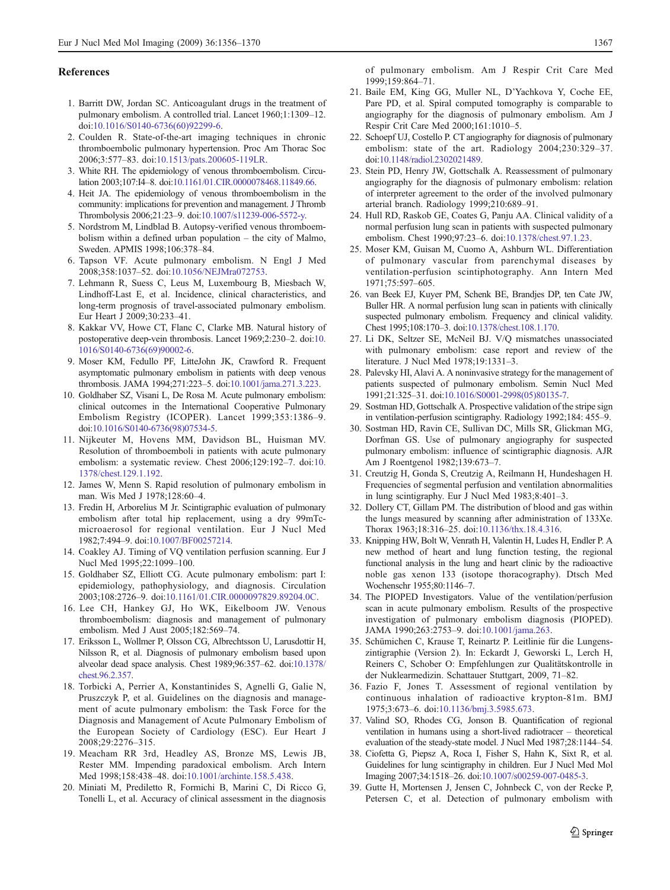#### <span id="page-11-0"></span>References

- 1. Barritt DW, Jordan SC. Anticoagulant drugs in the treatment of pulmonary embolism. A controlled trial. Lancet 1960;1:1309–12. doi:[10.1016/S0140-6736\(60\)92299-6](http://dx.doi.org/10.1016/S0140-6736(60)92299-6).
- 2. Coulden R. State-of-the-art imaging techniques in chronic thromboembolic pulmonary hypertension. Proc Am Thorac Soc 2006;3:577–83. doi[:10.1513/pats.200605-119LR](http://dx.doi.org/10.1513/pats.200605-119LR).
- 3. White RH. The epidemiology of venous thromboembolism. Circulation 2003;107:I4–8. doi[:10.1161/01.CIR.0000078468.11849.66.](http://dx.doi.org/10.1161/01.CIR.0000078468.11849.66)
- 4. Heit JA. The epidemiology of venous thromboembolism in the community: implications for prevention and management. J Thromb Thrombolysis 2006;21:23–9. doi[:10.1007/s11239-006-5572-y.](http://dx.doi.org/10.1007/s11239-006-5572-y)
- 5. Nordstrom M, Lindblad B. Autopsy-verified venous thromboembolism within a defined urban population – the city of Malmo, Sweden. APMIS 1998;106:378–84.
- 6. Tapson VF. Acute pulmonary embolism. N Engl J Med 2008;358:1037–52. doi[:10.1056/NEJMra072753.](http://dx.doi.org/10.1056/NEJMra072753)
- 7. Lehmann R, Suess C, Leus M, Luxembourg B, Miesbach W, Lindhoff-Last E, et al. Incidence, clinical characteristics, and long-term prognosis of travel-associated pulmonary embolism. Eur Heart J 2009;30:233–41.
- 8. Kakkar VV, Howe CT, Flanc C, Clarke MB. Natural history of postoperative deep-vein thrombosis. Lancet 1969;2:230–2. doi[:10.](http://dx.doi.org/10.1016/S0140-6736(69)90002-6) [1016/S0140-6736\(69\)90002-6](http://dx.doi.org/10.1016/S0140-6736(69)90002-6).
- 9. Moser KM, Fedullo PF, LitteJohn JK, Crawford R. Frequent asymptomatic pulmonary embolism in patients with deep venous thrombosis. JAMA 1994;271:223–5. doi:[10.1001/jama.271.3.223](http://dx.doi.org/10.1001/jama.271.3.223).
- 10. Goldhaber SZ, Visani L, De Rosa M. Acute pulmonary embolism: clinical outcomes in the International Cooperative Pulmonary Embolism Registry (ICOPER). Lancet 1999;353:1386–9. doi[:10.1016/S0140-6736\(98\)07534-5](http://dx.doi.org/10.1016/S0140-6736(98)07534-5).
- 11. Nijkeuter M, Hovens MM, Davidson BL, Huisman MV. Resolution of thromboemboli in patients with acute pulmonary embolism: a systematic review. Chest 2006;129:192–7. doi[:10.](http://dx.doi.org/10.1378/chest.129.1.192) [1378/chest.129.1.192.](http://dx.doi.org/10.1378/chest.129.1.192)
- 12. James W, Menn S. Rapid resolution of pulmonary embolism in man. Wis Med J 1978;128:60–4.
- 13. Fredin H, Arborelius M Jr. Scintigraphic evaluation of pulmonary embolism after total hip replacement, using a dry 99mTcmicroaerosol for regional ventilation. Eur J Nucl Med 1982;7:494–9. doi:[10.1007/BF00257214.](http://dx.doi.org/10.1007/BF00257214)
- 14. Coakley AJ. Timing of VQ ventilation perfusion scanning. Eur J Nucl Med 1995;22:1099–100.
- 15. Goldhaber SZ, Elliott CG. Acute pulmonary embolism: part I: epidemiology, pathophysiology, and diagnosis. Circulation 2003;108:2726–9. doi[:10.1161/01.CIR.0000097829.89204.0C](http://dx.doi.org/10.1161/01.CIR.0000097829.89204.0C).
- 16. Lee CH, Hankey GJ, Ho WK, Eikelboom JW. Venous thromboembolism: diagnosis and management of pulmonary embolism. Med J Aust 2005;182:569–74.
- 17. Eriksson L, Wollmer P, Olsson CG, Albrechtsson U, Larusdottir H, Nilsson R, et al. Diagnosis of pulmonary embolism based upon alveolar dead space analysis. Chest 1989;96:357–62. doi[:10.1378/](http://dx.doi.org/10.1378/chest.96.2.357) [chest.96.2.357.](http://dx.doi.org/10.1378/chest.96.2.357)
- 18. Torbicki A, Perrier A, Konstantinides S, Agnelli G, Galie N, Pruszczyk P, et al. Guidelines on the diagnosis and management of acute pulmonary embolism: the Task Force for the Diagnosis and Management of Acute Pulmonary Embolism of the European Society of Cardiology (ESC). Eur Heart J 2008;29:2276–315.
- 19. Meacham RR 3rd, Headley AS, Bronze MS, Lewis JB, Rester MM. Impending paradoxical embolism. Arch Intern Med 1998;158:438–48. doi[:10.1001/archinte.158.5.438](http://dx.doi.org/10.1001/archinte.158.5.438).
- 20. Miniati M, Prediletto R, Formichi B, Marini C, Di Ricco G, Tonelli L, et al. Accuracy of clinical assessment in the diagnosis

of pulmonary embolism. Am J Respir Crit Care Med 1999;159:864–71.

- 21. Baile EM, King GG, Muller NL, D'Yachkova Y, Coche EE, Pare PD, et al. Spiral computed tomography is comparable to angiography for the diagnosis of pulmonary embolism. Am J Respir Crit Care Med 2000;161:1010–5.
- 22. Schoepf UJ, Costello P. CT angiography for diagnosis of pulmonary embolism: state of the art. Radiology 2004;230:329–37. doi[:10.1148/radiol.2302021489](http://dx.doi.org/10.1148/radiol.2302021489).
- 23. Stein PD, Henry JW, Gottschalk A. Reassessment of pulmonary angiography for the diagnosis of pulmonary embolism: relation of interpreter agreement to the order of the involved pulmonary arterial branch. Radiology 1999;210:689–91.
- 24. Hull RD, Raskob GE, Coates G, Panju AA. Clinical validity of a normal perfusion lung scan in patients with suspected pulmonary embolism. Chest 1990;97:23–6. doi:[10.1378/chest.97.1.23](http://dx.doi.org/10.1378/chest.97.1.23).
- 25. Moser KM, Guisan M, Cuomo A, Ashburn WL. Differentiation of pulmonary vascular from parenchymal diseases by ventilation-perfusion scintiphotography. Ann Intern Med 1971;75:597–605.
- 26. van Beek EJ, Kuyer PM, Schenk BE, Brandjes DP, ten Cate JW, Buller HR. A normal perfusion lung scan in patients with clinically suspected pulmonary embolism. Frequency and clinical validity. Chest 1995;108:170–3. doi:[10.1378/chest.108.1.170](http://dx.doi.org/10.1378/chest.108.1.170).
- 27. Li DK, Seltzer SE, McNeil BJ. V/Q mismatches unassociated with pulmonary embolism: case report and review of the literature. J Nucl Med 1978;19:1331–3.
- 28. Palevsky HI, Alavi A. A noninvasive strategy for the management of patients suspected of pulmonary embolism. Semin Nucl Med 1991;21:325–31. doi[:10.1016/S0001-2998\(05\)80135-7.](http://dx.doi.org/10.1016/S0001-2998(05)80135-7)
- 29. Sostman HD, Gottschalk A. Prospective validation of the stripe sign in ventilation-perfusion scintigraphy. Radiology 1992;184: 455–9.
- 30. Sostman HD, Ravin CE, Sullivan DC, Mills SR, Glickman MG, Dorfman GS. Use of pulmonary angiography for suspected pulmonary embolism: influence of scintigraphic diagnosis. AJR Am J Roentgenol 1982;139:673–7.
- 31. Creutzig H, Gonda S, Creutzig A, Reilmann H, Hundeshagen H. Frequencies of segmental perfusion and ventilation abnormalities in lung scintigraphy. Eur J Nucl Med 1983;8:401–3.
- 32. Dollery CT, Gillam PM. The distribution of blood and gas within the lungs measured by scanning after administration of 133Xe. Thorax 1963;18:316–25. doi[:10.1136/thx.18.4.316.](http://dx.doi.org/10.1136/thx.18.4.316)
- 33. Knipping HW, Bolt W, Venrath H, Valentin H, Ludes H, Endler P. A new method of heart and lung function testing, the regional functional analysis in the lung and heart clinic by the radioactive noble gas xenon 133 (isotope thoracography). Dtsch Med Wochenschr 1955;80:1146–7.
- 34. The PIOPED Investigators. Value of the ventilation/perfusion scan in acute pulmonary embolism. Results of the prospective investigation of pulmonary embolism diagnosis (PIOPED). JAMA 1990;263:2753–9. doi[:10.1001/jama.263](http://dx.doi.org/10.1001/jama.263).
- 35. Schümichen C, Krause T, Reinartz P. Leitlinie für die Lungenszintigraphie (Version 2). In: Eckardt J, Geworski L, Lerch H, Reiners C, Schober O: Empfehlungen zur Qualitätskontrolle in der Nuklearmedizin. Schattauer Stuttgart, 2009, 71–82.
- 36. Fazio F, Jones T. Assessment of regional ventilation by continuous inhalation of radioactive krypton-81m. BMJ 1975;3:673–6. doi[:10.1136/bmj.3.5985.673](http://dx.doi.org/10.1136/bmj.3.5985.673).
- 37. Valind SO, Rhodes CG, Jonson B. Quantification of regional ventilation in humans using a short-lived radiotracer – theoretical evaluation of the steady-state model. J Nucl Med 1987;28:1144–54.
- 38. Ciofetta G, Piepsz A, Roca I, Fisher S, Hahn K, Sixt R, et al. Guidelines for lung scintigraphy in children. Eur J Nucl Med Mol Imaging 2007;34:1518–26. doi[:10.1007/s00259-007-0485-3.](http://dx.doi.org/10.1007/s00259-007-0485-3)
- 39. Gutte H, Mortensen J, Jensen C, Johnbeck C, von der Recke P, Petersen C, et al. Detection of pulmonary embolism with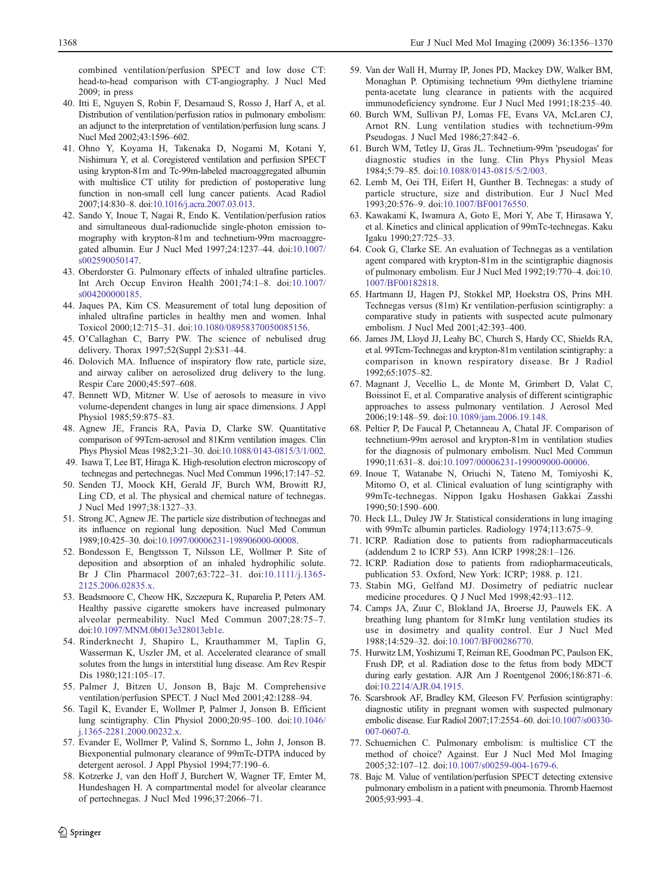<span id="page-12-0"></span>combined ventilation/perfusion SPECT and low dose CT: head-to-head comparison with CT-angiography. J Nucl Med 2009; in press

- 40. Itti E, Nguyen S, Robin F, Desarnaud S, Rosso J, Harf A, et al. Distribution of ventilation/perfusion ratios in pulmonary embolism: an adjunct to the interpretation of ventilation/perfusion lung scans. J Nucl Med 2002;43:1596–602.
- 41. Ohno Y, Koyama H, Takenaka D, Nogami M, Kotani Y, Nishimura Y, et al. Coregistered ventilation and perfusion SPECT using krypton-81m and Tc-99m-labeled macroaggregated albumin with multislice CT utility for prediction of postoperative lung function in non-small cell lung cancer patients. Acad Radiol 2007;14:830–8. doi[:10.1016/j.acra.2007.03.013.](http://dx.doi.org/10.1016/j.acra.2007.03.013)
- 42. Sando Y, Inoue T, Nagai R, Endo K. Ventilation/perfusion ratios and simultaneous dual-radionuclide single-photon emission tomography with krypton-81m and technetium-99m macroaggregated albumin. Eur J Nucl Med 1997;24:1237–44. doi[:10.1007/](http://dx.doi.org/10.1007/s002590050147) [s002590050147](http://dx.doi.org/10.1007/s002590050147).
- 43. Oberdorster G. Pulmonary effects of inhaled ultrafine particles. Int Arch Occup Environ Health 2001;74:1–8. doi:[10.1007/](http://dx.doi.org/10.1007/s004200000185) [s004200000185.](http://dx.doi.org/10.1007/s004200000185)
- 44. Jaques PA, Kim CS. Measurement of total lung deposition of inhaled ultrafine particles in healthy men and women. Inhal Toxicol 2000;12:715–31. doi:[10.1080/08958370050085156](http://dx.doi.org/10.1080/08958370050085156).
- 45. O'Callaghan C, Barry PW. The science of nebulised drug delivery. Thorax 1997;52(Suppl 2):S31–44.
- 46. Dolovich MA. Influence of inspiratory flow rate, particle size, and airway caliber on aerosolized drug delivery to the lung. Respir Care 2000;45:597–608.
- 47. Bennett WD, Mitzner W. Use of aerosols to measure in vivo volume-dependent changes in lung air space dimensions. J Appl Physiol 1985;59:875–83.
- 48. Agnew JE, Francis RA, Pavia D, Clarke SW. Quantitative comparison of 99Tcm-aerosol and 81Krm ventilation images. Clin Phys Physiol Meas 1982;3:21–30. doi[:10.1088/0143-0815/3/1/002.](http://dx.doi.org/10.1088/0143-0815/3/1/002)
- 49. Isawa T, Lee BT, Hiraga K. High-resolution electron microscopy of technegas and pertechnegas. Nucl Med Commun 1996;17:147–52.
- 50. Senden TJ, Moock KH, Gerald JF, Burch WM, Browitt RJ, Ling CD, et al. The physical and chemical nature of technegas. J Nucl Med 1997;38:1327–33.
- 51. Strong JC, Agnew JE. The particle size distribution of technegas and its influence on regional lung deposition. Nucl Med Commun 1989;10:425–30. doi[:10.1097/00006231-198906000-00008.](http://dx.doi.org/10.1097/00006231-198906000-00008)
- 52. Bondesson E, Bengtsson T, Nilsson LE, Wollmer P. Site of deposition and absorption of an inhaled hydrophilic solute. Br J Clin Pharmacol 2007;63:722–31. doi:[10.1111/j.1365-](http://dx.doi.org/10.1111/j.1365-2125.2006.02835.x) [2125.2006.02835.x.](http://dx.doi.org/10.1111/j.1365-2125.2006.02835.x)
- 53. Beadsmoore C, Cheow HK, Szczepura K, Ruparelia P, Peters AM. Healthy passive cigarette smokers have increased pulmonary alveolar permeability. Nucl Med Commun 2007;28:75–7. doi[:10.1097/MNM.0b013e328013eb1e](http://dx.doi.org/10.1097/MNM.0b013e328013eb1e).
- 54. Rinderknecht J, Shapiro L, Krauthammer M, Taplin G, Wasserman K, Uszler JM, et al. Accelerated clearance of small solutes from the lungs in interstitial lung disease. Am Rev Respir Dis 1980;121:105–17.
- 55. Palmer J, Bitzen U, Jonson B, Bajc M. Comprehensive ventilation/perfusion SPECT. J Nucl Med 2001;42:1288–94.
- 56. Tagil K, Evander E, Wollmer P, Palmer J, Jonson B. Efficient lung scintigraphy. Clin Physiol 2000;20:95–100. doi:[10.1046/](http://dx.doi.org/10.1046/j.1365-2281.2000.00232.x) [j.1365-2281.2000.00232.x.](http://dx.doi.org/10.1046/j.1365-2281.2000.00232.x)
- 57. Evander E, Wollmer P, Valind S, Sornmo L, John J, Jonson B. Biexponential pulmonary clearance of 99mTc-DTPA induced by detergent aerosol. J Appl Physiol 1994;77:190–6.
- 58. Kotzerke J, van den Hoff J, Burchert W, Wagner TF, Emter M, Hundeshagen H. A compartmental model for alveolar clearance of pertechnegas. J Nucl Med 1996;37:2066–71.
- 59. Van der Wall H, Murray IP, Jones PD, Mackey DW, Walker BM, Monaghan P. Optimising technetium 99m diethylene triamine penta-acetate lung clearance in patients with the acquired immunodeficiency syndrome. Eur J Nucl Med 1991;18:235–40.
- 60. Burch WM, Sullivan PJ, Lomas FE, Evans VA, McLaren CJ, Arnot RN. Lung ventilation studies with technetium-99m Pseudogas. J Nucl Med 1986;27:842–6.
- 61. Burch WM, Tetley IJ, Gras JL. Technetium-99m 'pseudogas' for diagnostic studies in the lung. Clin Phys Physiol Meas 1984;5:79–85. doi:[10.1088/0143-0815/5/2/003](http://dx.doi.org/10.1088/0143-0815/5/2/003).
- 62. Lemb M, Oei TH, Eifert H, Gunther B. Technegas: a study of particle structure, size and distribution. Eur J Nucl Med 1993;20:576–9. doi[:10.1007/BF00176550](http://dx.doi.org/10.1007/BF00176550).
- 63. Kawakami K, Iwamura A, Goto E, Mori Y, Abe T, Hirasawa Y, et al. Kinetics and clinical application of 99mTc-technegas. Kaku Igaku 1990;27:725–33.
- 64. Cook G, Clarke SE. An evaluation of Technegas as a ventilation agent compared with krypton-81m in the scintigraphic diagnosis of pulmonary embolism. Eur J Nucl Med 1992;19:770–4. doi[:10.](http://dx.doi.org/10.1007/BF00182818) [1007/BF00182818](http://dx.doi.org/10.1007/BF00182818).
- 65. Hartmann IJ, Hagen PJ, Stokkel MP, Hoekstra OS, Prins MH. Technegas versus (81m) Kr ventilation-perfusion scintigraphy: a comparative study in patients with suspected acute pulmonary embolism. J Nucl Med 2001;42:393–400.
- 66. James JM, Lloyd JJ, Leahy BC, Church S, Hardy CC, Shields RA, et al. 99Tcm-Technegas and krypton-81m ventilation scintigraphy: a comparison in known respiratory disease. Br J Radiol 1992;65:1075–82.
- 67. Magnant J, Vecellio L, de Monte M, Grimbert D, Valat C, Boissinot E, et al. Comparative analysis of different scintigraphic approaches to assess pulmonary ventilation. J Aerosol Med 2006;19:148–59. doi[:10.1089/jam.2006.19.148](http://dx.doi.org/10.1089/jam.2006.19.148).
- 68. Peltier P, De Faucal P, Chetanneau A, Chatal JF. Comparison of technetium-99m aerosol and krypton-81m in ventilation studies for the diagnosis of pulmonary embolism. Nucl Med Commun 1990;11:631–8. doi:[10.1097/00006231-199009000-00006](http://dx.doi.org/10.1097/00006231-199009000-00006).
- 69. Inoue T, Watanabe N, Oriuchi N, Tateno M, Tomiyoshi K, Mitomo O, et al. Clinical evaluation of lung scintigraphy with 99mTc-technegas. Nippon Igaku Hoshasen Gakkai Zasshi 1990;50:1590–600.
- 70. Heck LL, Duley JW Jr. Statistical considerations in lung imaging with 99mTc albumin particles. Radiology 1974;113:675–9.
- 71. ICRP. Radiation dose to patients from radiopharmaceuticals (addendum 2 to ICRP 53). Ann ICRP 1998;28:1–126.
- 72. ICRP. Radiation dose to patients from radiopharmaceuticals, publication 53. Oxford, New York: ICRP; 1988. p. 121.
- 73. Stabin MG, Gelfand MJ. Dosimetry of pediatric nuclear medicine procedures. Q J Nucl Med 1998;42:93–112.
- 74. Camps JA, Zuur C, Blokland JA, Broerse JJ, Pauwels EK. A breathing lung phantom for 81mKr lung ventilation studies its use in dosimetry and quality control. Eur J Nucl Med 1988;14:529–32. doi[:10.1007/BF00286770](http://dx.doi.org/10.1007/BF00286770).
- 75. Hurwitz LM, Yoshizumi T, Reiman RE, Goodman PC, Paulson EK, Frush DP, et al. Radiation dose to the fetus from body MDCT during early gestation. AJR Am J Roentgenol 2006;186:871–6. doi:[10.2214/AJR.04.1915](http://dx.doi.org/10.2214/AJR.04.1915).
- 76. Scarsbrook AF, Bradley KM, Gleeson FV. Perfusion scintigraphy: diagnostic utility in pregnant women with suspected pulmonary embolic disease. Eur Radiol 2007;17:2554–60. doi[:10.1007/s00330-](http://dx.doi.org/10.1007/s00330-007-0607-0) [007-0607-0.](http://dx.doi.org/10.1007/s00330-007-0607-0)
- 77. Schuemichen C. Pulmonary embolism: is multislice CT the method of choice? Against. Eur J Nucl Med Mol Imaging 2005;32:107–12. doi[:10.1007/s00259-004-1679-6.](http://dx.doi.org/10.1007/s00259-004-1679-6)
- 78. Bajc M. Value of ventilation/perfusion SPECT detecting extensive pulmonary embolism in a patient with pneumonia. Thromb Haemost 2005;93:993–4.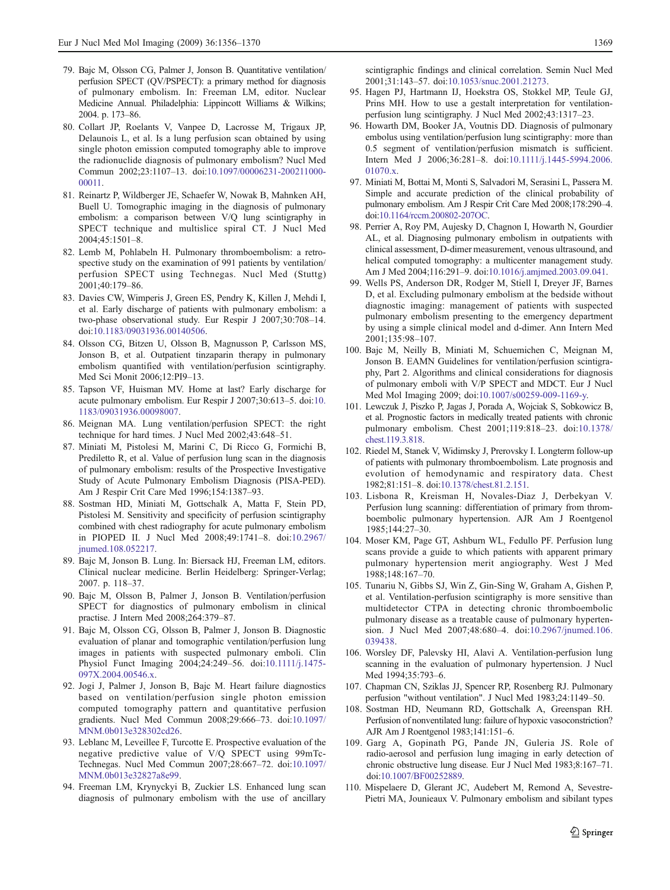- <span id="page-13-0"></span>79. Bajc M, Olsson CG, Palmer J, Jonson B. Quantitative ventilation/ perfusion SPECT (QV/PSPECT): a primary method for diagnosis of pulmonary embolism. In: Freeman LM, editor. Nuclear Medicine Annual. Philadelphia: Lippincott Williams & Wilkins; 2004. p. 173–86.
- 80. Collart JP, Roelants V, Vanpee D, Lacrosse M, Trigaux JP, Delaunois L, et al. Is a lung perfusion scan obtained by using single photon emission computed tomography able to improve the radionuclide diagnosis of pulmonary embolism? Nucl Med Commun 2002;23:1107–13. doi[:10.1097/00006231-200211000-](http://dx.doi.org/10.1097/00006231-200211000-00011) [00011](http://dx.doi.org/10.1097/00006231-200211000-00011).
- 81. Reinartz P, Wildberger JE, Schaefer W, Nowak B, Mahnken AH, Buell U. Tomographic imaging in the diagnosis of pulmonary embolism: a comparison between V/Q lung scintigraphy in SPECT technique and multislice spiral CT. J Nucl Med 2004;45:1501–8.
- 82. Lemb M, Pohlabeln H. Pulmonary thromboembolism: a retrospective study on the examination of 991 patients by ventilation/ perfusion SPECT using Technegas. Nucl Med (Stuttg) 2001;40:179–86.
- 83. Davies CW, Wimperis J, Green ES, Pendry K, Killen J, Mehdi I, et al. Early discharge of patients with pulmonary embolism: a two-phase observational study. Eur Respir J 2007;30:708–14. doi:[10.1183/09031936.00140506](http://dx.doi.org/10.1183/09031936.00140506).
- 84. Olsson CG, Bitzen U, Olsson B, Magnusson P, Carlsson MS, Jonson B, et al. Outpatient tinzaparin therapy in pulmonary embolism quantified with ventilation/perfusion scintigraphy. Med Sci Monit 2006;12:PI9–13.
- 85. Tapson VF, Huisman MV. Home at last? Early discharge for acute pulmonary embolism. Eur Respir J 2007;30:613–5. doi[:10.](http://dx.doi.org/10.1183/09031936.00098007) [1183/09031936.00098007.](http://dx.doi.org/10.1183/09031936.00098007)
- 86. Meignan MA. Lung ventilation/perfusion SPECT: the right technique for hard times. J Nucl Med 2002;43:648–51.
- 87. Miniati M, Pistolesi M, Marini C, Di Ricco G, Formichi B, Prediletto R, et al. Value of perfusion lung scan in the diagnosis of pulmonary embolism: results of the Prospective Investigative Study of Acute Pulmonary Embolism Diagnosis (PISA-PED). Am J Respir Crit Care Med 1996;154:1387–93.
- 88. Sostman HD, Miniati M, Gottschalk A, Matta F, Stein PD, Pistolesi M. Sensitivity and specificity of perfusion scintigraphy combined with chest radiography for acute pulmonary embolism in PIOPED II. J Nucl Med 2008;49:1741–8. doi[:10.2967/](http://dx.doi.org/10.2967/jnumed.108.052217) [jnumed.108.052217](http://dx.doi.org/10.2967/jnumed.108.052217).
- 89. Bajc M, Jonson B. Lung. In: Biersack HJ, Freeman LM, editors. Clinical nuclear medicine. Berlin Heidelberg: Springer-Verlag; 2007. p. 118–37.
- 90. Bajc M, Olsson B, Palmer J, Jonson B. Ventilation/perfusion SPECT for diagnostics of pulmonary embolism in clinical practise. J Intern Med 2008;264:379–87.
- 91. Bajc M, Olsson CG, Olsson B, Palmer J, Jonson B. Diagnostic evaluation of planar and tomographic ventilation/perfusion lung images in patients with suspected pulmonary emboli. Clin Physiol Funct Imaging 2004;24:249–56. doi[:10.1111/j.1475-](http://dx.doi.org/10.1111/j.1475-097X.2004.00546.x) [097X.2004.00546.x](http://dx.doi.org/10.1111/j.1475-097X.2004.00546.x).
- 92. Jogi J, Palmer J, Jonson B, Bajc M. Heart failure diagnostics based on ventilation/perfusion single photon emission computed tomography pattern and quantitative perfusion gradients. Nucl Med Commun 2008;29:666–73. doi:[10.1097/](http://dx.doi.org/10.1097/MNM.0b013e328302cd26) [MNM.0b013e328302cd26.](http://dx.doi.org/10.1097/MNM.0b013e328302cd26)
- 93. Leblanc M, Leveillee F, Turcotte E. Prospective evaluation of the negative predictive value of V/Q SPECT using 99mTc-Technegas. Nucl Med Commun 2007;28:667–72. doi:[10.1097/](http://dx.doi.org/10.1097/MNM.0b013e32827a8e99) [MNM.0b013e32827a8e99](http://dx.doi.org/10.1097/MNM.0b013e32827a8e99).
- 94. Freeman LM, Krynyckyi B, Zuckier LS. Enhanced lung scan diagnosis of pulmonary embolism with the use of ancillary

scintigraphic findings and clinical correlation. Semin Nucl Med 2001;31:143–57. doi[:10.1053/snuc.2001.21273.](http://dx.doi.org/10.1053/snuc.2001.21273)

- 95. Hagen PJ, Hartmann IJ, Hoekstra OS, Stokkel MP, Teule GJ, Prins MH. How to use a gestalt interpretation for ventilationperfusion lung scintigraphy. J Nucl Med 2002;43:1317–23.
- 96. Howarth DM, Booker JA, Voutnis DD. Diagnosis of pulmonary embolus using ventilation/perfusion lung scintigraphy: more than 0.5 segment of ventilation/perfusion mismatch is sufficient. Intern Med J 2006;36:281–8. doi:[10.1111/j.1445-5994.2006.](http://dx.doi.org/10.1111/j.1445-5994.2006.01070.x) [01070.x.](http://dx.doi.org/10.1111/j.1445-5994.2006.01070.x)
- 97. Miniati M, Bottai M, Monti S, Salvadori M, Serasini L, Passera M. Simple and accurate prediction of the clinical probability of pulmonary embolism. Am J Respir Crit Care Med 2008;178:290–4. doi[:10.1164/rccm.200802-207OC.](http://dx.doi.org/10.1164/rccm.200802-207OC)
- 98. Perrier A, Roy PM, Aujesky D, Chagnon I, Howarth N, Gourdier AL, et al. Diagnosing pulmonary embolism in outpatients with clinical assessment, D-dimer measurement, venous ultrasound, and helical computed tomography: a multicenter management study. Am J Med 2004;116:291–9. doi:[10.1016/j.amjmed.2003.09.041.](http://dx.doi.org/10.1016/j.amjmed.2003.09.041)
- 99. Wells PS, Anderson DR, Rodger M, Stiell I, Dreyer JF, Barnes D, et al. Excluding pulmonary embolism at the bedside without diagnostic imaging: management of patients with suspected pulmonary embolism presenting to the emergency department by using a simple clinical model and d-dimer. Ann Intern Med 2001;135:98–107.
- 100. Bajc M, Neilly B, Miniati M, Schuemichen C, Meignan M, Jonson B. EAMN Guidelines for ventilation/perfusion scintigraphy, Part 2. Algorithms and clinical considerations for diagnosis of pulmonary emboli with V/P SPECT and MDCT. Eur J Nucl Med Mol Imaging 2009; doi:[10.1007/s00259-009-1169-y.](http://dx.doi.org/10.1007/s00259-009-1169-y)
- 101. Lewczuk J, Piszko P, Jagas J, Porada A, Wojciak S, Sobkowicz B, et al. Prognostic factors in medically treated patients with chronic pulmonary embolism. Chest 2001;119:818–23. doi[:10.1378/](http://dx.doi.org/10.1378/chest.119.3.818) [chest.119.3.818.](http://dx.doi.org/10.1378/chest.119.3.818)
- 102. Riedel M, Stanek V, Widimsky J, Prerovsky I. Longterm follow-up of patients with pulmonary thromboembolism. Late prognosis and evolution of hemodynamic and respiratory data. Chest 1982;81:151–8. doi:[10.1378/chest.81.2.151](http://dx.doi.org/10.1378/chest.81.2.151).
- 103. Lisbona R, Kreisman H, Novales-Diaz J, Derbekyan V. Perfusion lung scanning: differentiation of primary from thromboembolic pulmonary hypertension. AJR Am J Roentgenol 1985;144:27–30.
- 104. Moser KM, Page GT, Ashburn WL, Fedullo PF. Perfusion lung scans provide a guide to which patients with apparent primary pulmonary hypertension merit angiography. West J Med 1988;148:167–70.
- 105. Tunariu N, Gibbs SJ, Win Z, Gin-Sing W, Graham A, Gishen P, et al. Ventilation-perfusion scintigraphy is more sensitive than multidetector CTPA in detecting chronic thromboembolic pulmonary disease as a treatable cause of pulmonary hypertension. J Nucl Med 2007;48:680–4. doi[:10.2967/jnumed.106.](http://dx.doi.org/10.2967/jnumed.106.039438) [039438.](http://dx.doi.org/10.2967/jnumed.106.039438)
- 106. Worsley DF, Palevsky HI, Alavi A. Ventilation-perfusion lung scanning in the evaluation of pulmonary hypertension. J Nucl Med 1994;35:793–6.
- 107. Chapman CN, Sziklas JJ, Spencer RP, Rosenberg RJ. Pulmonary perfusion "without ventilation". J Nucl Med 1983;24:1149–50.
- 108. Sostman HD, Neumann RD, Gottschalk A, Greenspan RH. Perfusion of nonventilated lung: failure of hypoxic vasoconstriction? AJR Am J Roentgenol 1983;141:151–6.
- 109. Garg A, Gopinath PG, Pande JN, Guleria JS. Role of radio-aerosol and perfusion lung imaging in early detection of chronic obstructive lung disease. Eur J Nucl Med 1983;8:167–71. doi:[10.1007/BF00252889.](http://dx.doi.org/10.1007/BF00252889)
- 110. Mispelaere D, Glerant JC, Audebert M, Remond A, Sevestre-Pietri MA, Jounieaux V. Pulmonary embolism and sibilant types